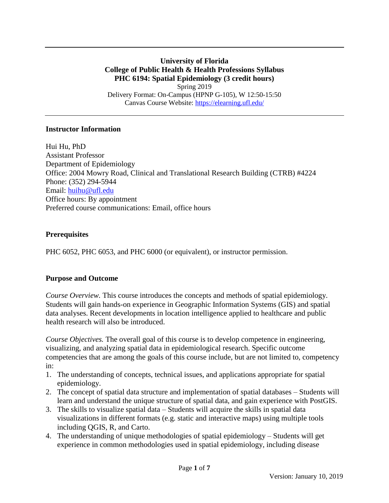**University of Florida College of Public Health & Health Professions Syllabus PHC 6194: Spatial Epidemiology (3 credit hours)** Spring 2019 Delivery Format: On-Campus (HPNP G-105), W 12:50-15:50 Canvas Course Website:<https://elearning.ufl.edu/>

#### **Instructor Information**

Hui Hu, PhD Assistant Professor Department of Epidemiology Office: 2004 Mowry Road, Clinical and Translational Research Building (CTRB) #4224 Phone: (352) 294-5944 Email: [huihu@ufl.edu](mailto:huihu@ufl.edu) Office hours: By appointment Preferred course communications: Email, office hours

### **Prerequisites**

PHC 6052, PHC 6053, and PHC 6000 (or equivalent), or instructor permission.

### **Purpose and Outcome**

*Course Overview.* This course introduces the concepts and methods of spatial epidemiology. Students will gain hands-on experience in Geographic Information Systems (GIS) and spatial data analyses. Recent developments in location intelligence applied to healthcare and public health research will also be introduced.

*Course Objectives.* The overall goal of this course is to develop competence in engineering, visualizing, and analyzing spatial data in epidemiological research. Specific outcome competencies that are among the goals of this course include, but are not limited to, competency in:

- 1. The understanding of concepts, technical issues, and applications appropriate for spatial epidemiology.
- 2. The concept of spatial data structure and implementation of spatial databases Students will learn and understand the unique structure of spatial data, and gain experience with PostGIS.
- 3. The skills to visualize spatial data Students will acquire the skills in spatial data visualizations in different formats (e.g. static and interactive maps) using multiple tools including QGIS, R, and Carto.
- 4. The understanding of unique methodologies of spatial epidemiology Students will get experience in common methodologies used in spatial epidemiology, including disease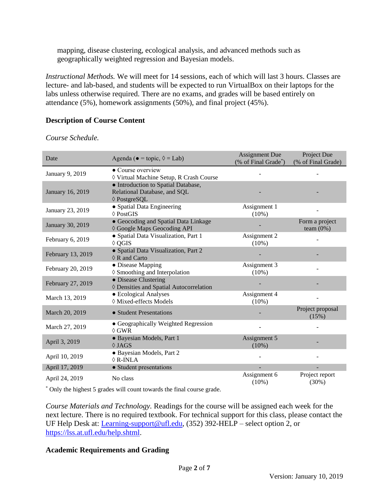mapping, disease clustering, ecological analysis, and advanced methods such as geographically weighted regression and Bayesian models.

*Instructional Methods.* We will meet for 14 sessions, each of which will last 3 hours. Classes are lecture- and lab-based, and students will be expected to run VirtualBox on their laptops for the labs unless otherwise required. There are no exams, and grades will be based entirely on attendance (5%), homework assignments (50%), and final project (45%).

### **Description of Course Content**

*Course Schedule.*

| Date              | Agenda ( $\bullet$ = topic, $\Diamond$ = Lab)         | <b>Assignment Due</b> | Project Due        |  |
|-------------------|-------------------------------------------------------|-----------------------|--------------------|--|
|                   |                                                       | (% of Final Grade*)   | (% of Final Grade) |  |
| January 9, 2019   | • Course overview                                     |                       |                    |  |
|                   | ♦ Virtual Machine Setup, R Crash Course               |                       |                    |  |
| January 16, 2019  | • Introduction to Spatial Database,                   |                       |                    |  |
|                   | Relational Database, and SQL                          |                       |                    |  |
|                   | ♦ PostgreSQL                                          |                       |                    |  |
| January 23, 2019  | • Spatial Data Engineering                            | Assignment 1          |                    |  |
|                   | $\Diamond$ PostGIS                                    | $(10\%)$              |                    |  |
| January 30, 2019  | • Geocoding and Spatial Data Linkage                  |                       | Form a project     |  |
|                   | ♦ Google Maps Geocoding API                           |                       | team $(0%)$        |  |
| February 6, 2019  | • Spatial Data Visualization, Part 1                  | Assignment 2          |                    |  |
|                   | $\Diamond$ QGIS                                       | $(10\%)$              |                    |  |
| February 13, 2019 | • Spatial Data Visualization, Part 2                  |                       |                    |  |
|                   | $\Diamond$ R and Carto                                |                       |                    |  |
| February 20, 2019 | • Disease Mapping                                     | Assignment 3          |                    |  |
|                   | ◊ Smoothing and Interpolation<br>• Disease Clustering | $(10\%)$              |                    |  |
| February 27, 2019 | ♦ Densities and Spatial Autocorrelation               |                       |                    |  |
|                   | • Ecological Analyses                                 | Assignment 4          |                    |  |
| March 13, 2019    | ♦ Mixed-effects Models                                | $(10\%)$              |                    |  |
|                   |                                                       |                       | Project proposal   |  |
| March 20, 2019    | • Student Presentations                               |                       | (15%)              |  |
|                   | • Geographically Weighted Regression                  |                       |                    |  |
| March 27, 2019    | $\Diamond$ GWR                                        |                       |                    |  |
|                   | · Bayesian Models, Part 1                             | Assignment 5          |                    |  |
| April 3, 2019     | $\Diamond$ JAGS                                       | $(10\%)$              |                    |  |
|                   | · Bayesian Models, Part 2                             |                       |                    |  |
| April 10, 2019    | $\Diamond$ R-INLA                                     |                       |                    |  |
| April 17, 2019    | • Student presentations                               |                       |                    |  |
|                   | No class                                              | Assignment 6          | Project report     |  |
| April 24, 2019    |                                                       | $(10\%)$              | (30%)              |  |

\* Only the highest 5 grades will count towards the final course grade.

*Course Materials and Technology.* Readings for the course will be assigned each week for the next lecture. There is no required textbook. For technical support for this class, please contact the UF Help Desk at: [Learning-support@ufl.edu,](mailto:Learning-support@ufl.edu) (352) 392-HELP – select option 2, or [https://lss.at.ufl.edu/help.shtml.](https://lss.at.ufl.edu/help.shtml)

### **Academic Requirements and Grading**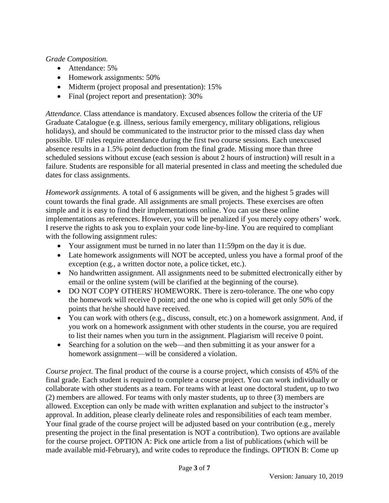*Grade Composition.*

- Attendance: 5%
- Homework assignments: 50%
- Midterm (project proposal and presentation): 15%
- Final (project report and presentation): 30%

*Attendance.* Class attendance is mandatory. Excused absences follow the criteria of the UF Graduate Catalogue (e.g. illness, serious family emergency, military obligations, religious holidays), and should be communicated to the instructor prior to the missed class day when possible. UF rules require attendance during the first two course sessions. Each unexcused absence results in a 1.5% point deduction from the final grade. Missing more than three scheduled sessions without excuse (each session is about 2 hours of instruction) will result in a failure. Students are responsible for all material presented in class and meeting the scheduled due dates for class assignments.

*Homework assignments.* A total of 6 assignments will be given, and the highest 5 grades will count towards the final grade. All assignments are small projects. These exercises are often simple and it is easy to find their implementations online. You can use these online implementations as references. However, you will be penalized if you merely copy others' work. I reserve the rights to ask you to explain your code line-by-line. You are required to compliant with the following assignment rules:

- Your assignment must be turned in no later than 11:59pm on the day it is due.
- Late homework assignments will NOT be accepted, unless you have a formal proof of the exception (e.g., a written doctor note, a police ticket, etc.).
- No handwritten assignment. All assignments need to be submitted electronically either by email or the online system (will be clarified at the beginning of the course).
- DO NOT COPY OTHERS' HOMEWORK. There is zero-tolerance. The one who copy the homework will receive 0 point; and the one who is copied will get only 50% of the points that he/she should have received.
- You can work with others (e.g., discuss, consult, etc.) on a homework assignment. And, if you work on a homework assignment with other students in the course, you are required to list their names when you turn in the assignment. Plagiarism will receive 0 point.
- Searching for a solution on the web—and then submitting it as your answer for a homework assignment—will be considered a violation.

*Course project.* The final product of the course is a course project, which consists of 45% of the final grade. Each student is required to complete a course project. You can work individually or collaborate with other students as a team. For teams with at least one doctoral student, up to two (2) members are allowed. For teams with only master students, up to three (3) members are allowed. Exception can only be made with written explanation and subject to the instructor's approval. In addition, please clearly delineate roles and responsibilities of each team member. Your final grade of the course project will be adjusted based on your contribution (e.g., merely presenting the project in the final presentation is NOT a contribution). Two options are available for the course project. OPTION A: Pick one article from a list of publications (which will be made available mid-February), and write codes to reproduce the findings. OPTION B: Come up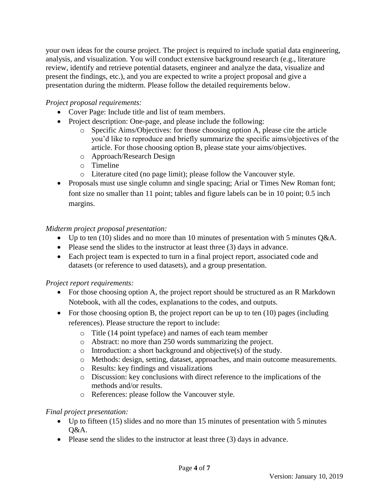your own ideas for the course project. The project is required to include spatial data engineering, analysis, and visualization. You will conduct extensive background research (e.g., literature review, identify and retrieve potential datasets, engineer and analyze the data, visualize and present the findings, etc.), and you are expected to write a project proposal and give a presentation during the midterm. Please follow the detailed requirements below.

# *Project proposal requirements:*

- Cover Page: Include title and list of team members.
- Project description: One-page, and please include the following:
	- o Specific Aims/Objectives: for those choosing option A, please cite the article you'd like to reproduce and briefly summarize the specific aims/objectives of the article. For those choosing option B, please state your aims/objectives.
	- o Approach/Research Design
	- o Timeline
	- o Literature cited (no page limit); please follow the Vancouver style.
- Proposals must use single column and single spacing; Arial or Times New Roman font; font size no smaller than 11 point; tables and figure labels can be in 10 point; 0.5 inch margins.

# *Midterm project proposal presentation:*

- Up to ten (10) slides and no more than 10 minutes of presentation with 5 minutes  $Q&A$ .
- Please send the slides to the instructor at least three (3) days in advance.
- Each project team is expected to turn in a final project report, associated code and datasets (or reference to used datasets), and a group presentation.

# *Project report requirements:*

- For those choosing option A, the project report should be structured as an R Markdown Notebook, with all the codes, explanations to the codes, and outputs.
- For those choosing option B, the project report can be up to ten  $(10)$  pages (including references). Please structure the report to include:
	- o Title (14 point typeface) and names of each team member
	- o Abstract: no more than 250 words summarizing the project.
	- o Introduction: a short background and objective(s) of the study.
	- o Methods: design, setting, dataset, approaches, and main outcome measurements.
	- o Results: key findings and visualizations
	- o Discussion: key conclusions with direct reference to the implications of the methods and/or results.
	- o References: please follow the Vancouver style.

# *Final project presentation:*

- Up to fifteen (15) slides and no more than 15 minutes of presentation with 5 minutes Q&A.
- Please send the slides to the instructor at least three (3) days in advance.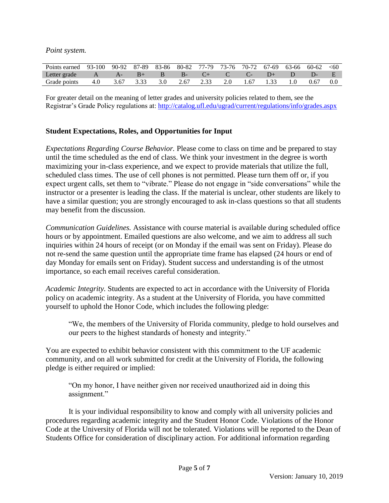*Point system.*

| Points earned 93-100 90-92 87-89 83-86 80-82 77-79 73-76 70-72 67-69 63-66 60-62 <60 |  |  |  |  |  |  |
|--------------------------------------------------------------------------------------|--|--|--|--|--|--|
| Letter grade $A$ $A$ - $B$ + $B$ $B$ - $C$ + $C$ $C$ - $D$ + $D$ $D$ - $E$           |  |  |  |  |  |  |
| Grade points 4.0 3.67 3.33 3.0 2.67 2.33 2.0 1.67 1.33 1.0 0.67 0.0                  |  |  |  |  |  |  |

For greater detail on the meaning of letter grades and university policies related to them, see the Registrar's Grade Policy regulations at:<http://catalog.ufl.edu/ugrad/current/regulations/info/grades.aspx>

#### **Student Expectations, Roles, and Opportunities for Input**

*Expectations Regarding Course Behavior.* Please come to class on time and be prepared to stay until the time scheduled as the end of class. We think your investment in the degree is worth maximizing your in-class experience, and we expect to provide materials that utilize the full, scheduled class times. The use of cell phones is not permitted. Please turn them off or, if you expect urgent calls, set them to "vibrate." Please do not engage in "side conversations" while the instructor or a presenter is leading the class. If the material is unclear, other students are likely to have a similar question; you are strongly encouraged to ask in-class questions so that all students may benefit from the discussion.

*Communication Guidelines.* Assistance with course material is available during scheduled office hours or by appointment. Emailed questions are also welcome, and we aim to address all such inquiries within 24 hours of receipt (or on Monday if the email was sent on Friday). Please do not re-send the same question until the appropriate time frame has elapsed (24 hours or end of day Monday for emails sent on Friday). Student success and understanding is of the utmost importance, so each email receives careful consideration.

*Academic Integrity.* Students are expected to act in accordance with the University of Florida policy on academic integrity. As a student at the University of Florida, you have committed yourself to uphold the Honor Code, which includes the following pledge:

"We, the members of the University of Florida community, pledge to hold ourselves and our peers to the highest standards of honesty and integrity."

You are expected to exhibit behavior consistent with this commitment to the UF academic community, and on all work submitted for credit at the University of Florida, the following pledge is either required or implied:

"On my honor, I have neither given nor received unauthorized aid in doing this assignment."

It is your individual responsibility to know and comply with all university policies and procedures regarding academic integrity and the Student Honor Code. Violations of the Honor Code at the University of Florida will not be tolerated. Violations will be reported to the Dean of Students Office for consideration of disciplinary action. For additional information regarding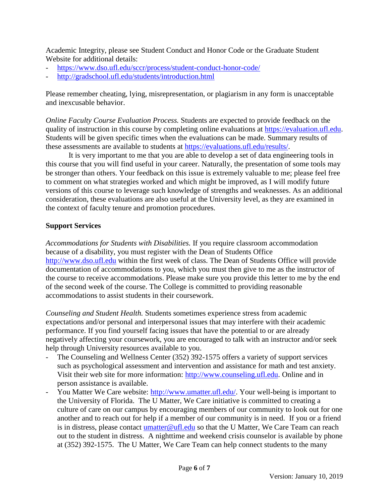Academic Integrity, please see Student Conduct and Honor Code or the Graduate Student Website for additional details:

- <https://www.dso.ufl.edu/sccr/process/student-conduct-honor-code/>
- <http://gradschool.ufl.edu/students/introduction.html>

Please remember cheating, lying, misrepresentation, or plagiarism in any form is unacceptable and inexcusable behavior.

*Online Faculty Course Evaluation Process.* Students are expected to provide feedback on the quality of instruction in this course by completing online evaluations at [https://evaluation.ufl.edu.](https://evaluation.ufl.edu/) Students will be given specific times when the evaluations can be made. Summary results of these assessments are available to students at [https://evaluations.ufl.edu/results/.](https://evaluations.ufl.edu/results/)

It is very important to me that you are able to develop a set of data engineering tools in this course that you will find useful in your career. Naturally, the presentation of some tools may be stronger than others. Your feedback on this issue is extremely valuable to me; please feel free to comment on what strategies worked and which might be improved, as I will modify future versions of this course to leverage such knowledge of strengths and weaknesses. As an additional consideration, these evaluations are also useful at the University level, as they are examined in the context of faculty tenure and promotion procedures.

#### **Support Services**

*Accommodations for Students with Disabilities.* If you require classroom accommodation because of a disability, you must register with the Dean of Students Office [http://www.dso.ufl.edu](http://www.dso.ufl.edu/) within the first week of class. The Dean of Students Office will provide documentation of accommodations to you, which you must then give to me as the instructor of the course to receive accommodations. Please make sure you provide this letter to me by the end of the second week of the course. The College is committed to providing reasonable accommodations to assist students in their coursework.

*Counseling and Student Health.* Students sometimes experience stress from academic expectations and/or personal and interpersonal issues that may interfere with their academic performance. If you find yourself facing issues that have the potential to or are already negatively affecting your coursework, you are encouraged to talk with an instructor and/or seek help through University resources available to you.

- The Counseling and Wellness Center (352) 392-1575 offers a variety of support services such as psychological assessment and intervention and assistance for math and test anxiety. Visit their web site for more information: [http://www.counseling.ufl.edu.](http://www.counseling.ufl.edu/) Online and in person assistance is available.
- You Matter We Care website: [http://www.umatter.ufl.edu/.](http://www.umatter.ufl.edu/) Your well-being is important to the University of Florida. The U Matter, We Care initiative is committed to creating a culture of care on our campus by encouraging members of our community to look out for one another and to reach out for help if a member of our community is in need. If you or a friend is in distress, please contact [umatter@ufl.edu](mailto:umatter@ufl.edu) so that the U Matter, We Care Team can reach out to the student in distress. A nighttime and weekend crisis counselor is available by phone at (352) 392-1575. The U Matter, We Care Team can help connect students to the many